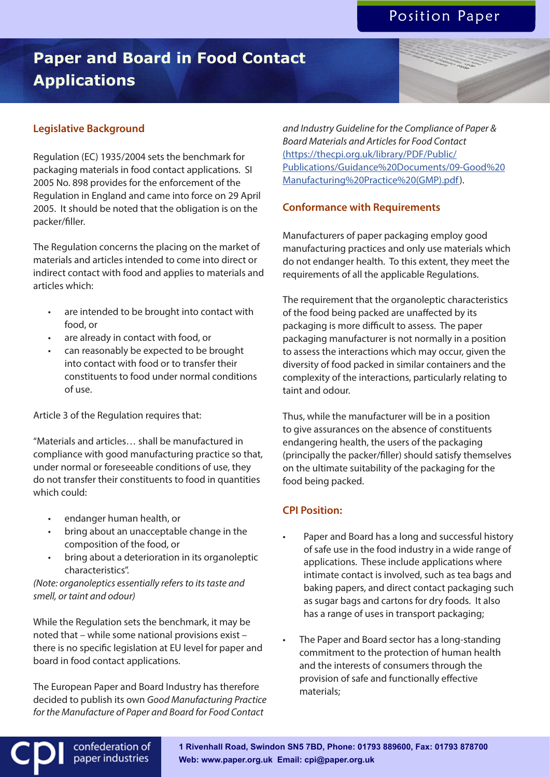# **Paper and Board in Food Contact Applications**

## **Legislative Background**

Regulation (EC) 1935/2004 sets the benchmark for packaging materials in food contact applications. SI 2005 No. 898 provides for the enforcement of the Regulation in England and came into force on 29 April 2005. It should be noted that the obligation is on the packer/filler.

The Regulation concerns the placing on the market of materials and articles intended to come into direct or indirect contact with food and applies to materials and articles which:

- are intended to be brought into contact with food, or
- are already in contact with food, or
- can reasonably be expected to be brought into contact with food or to transfer their constituents to food under normal conditions of use.

Article 3 of the Regulation requires that:

"Materials and articles… shall be manufactured in compliance with good manufacturing practice so that, under normal or foreseeable conditions of use, they do not transfer their constituents to food in quantities which could:

• endanger human health, or

confederation of paper industries

- bring about an unacceptable change in the composition of the food, or
- bring about a deterioration in its organoleptic characteristics".

*(Note: organoleptics essentially refers to its taste and smell, or taint and odour)*

While the Regulation sets the benchmark, it may be noted that – while some national provisions exist – there is no specific legislation at EU level for paper and board in food contact applications.

The European Paper and Board Industry has therefore decided to publish its own *Good Manufacturing Practice for the Manufacture of Paper and Board for Food Contact* 

*and Industry Guideline for the Compliance of Paper & Board Materials and Articles for Food Contact*  (https://thecpi.org.uk/library/PDF/Public/ Publications/Guidance%20Documents/09-Good%20 Manufacturing%20Practice%20(GMP).pdf).

#### **Conformance with Requirements**

Manufacturers of paper packaging employ good manufacturing practices and only use materials which do not endanger health. To this extent, they meet the requirements of all the applicable Regulations.

The requirement that the organoleptic characteristics of the food being packed are unaffected by its packaging is more difficult to assess. The paper packaging manufacturer is not normally in a position to assess the interactions which may occur, given the diversity of food packed in similar containers and the complexity of the interactions, particularly relating to taint and odour.

Thus, while the manufacturer will be in a position to give assurances on the absence of constituents endangering health, the users of the packaging (principally the packer/filler) should satisfy themselves on the ultimate suitability of the packaging for the food being packed.

### **CPI Position:**

- Paper and Board has a long and successful history of safe use in the food industry in a wide range of applications. These include applications where intimate contact is involved, such as tea bags and baking papers, and direct contact packaging such as sugar bags and cartons for dry foods. It also has a range of uses in transport packaging;
- The Paper and Board sector has a long-standing commitment to the protection of human health and the interests of consumers through the provision of safe and functionally effective materials;

**1 Rivenhall Road, Swindon SN5 7BD, Phone: 01793 889600, Fax: 01793 878700 Web: www.paper.org.uk Email: cpi@paper.org.uk**